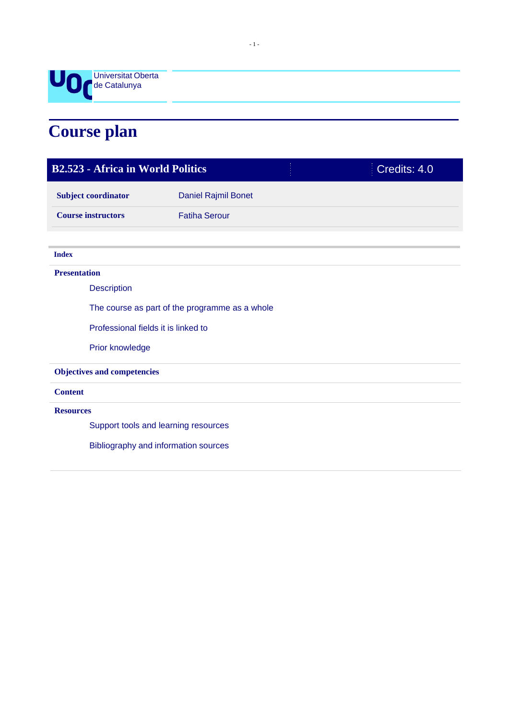

# **Course plan**

| <b>B2.523 - Africa in World Politics</b>       |                                      |  | Credits: 4.0 |  |
|------------------------------------------------|--------------------------------------|--|--------------|--|
| <b>Subject coordinator</b>                     | Daniel Rajmil Bonet                  |  |              |  |
| <b>Course instructors</b>                      | <b>Fatiha Serour</b>                 |  |              |  |
|                                                |                                      |  |              |  |
| <b>Index</b>                                   |                                      |  |              |  |
| <b>Presentation</b>                            |                                      |  |              |  |
| <b>Description</b>                             |                                      |  |              |  |
| The course as part of the programme as a whole |                                      |  |              |  |
| Professional fields it is linked to            |                                      |  |              |  |
| Prior knowledge                                |                                      |  |              |  |
| <b>Objectives and competencies</b>             |                                      |  |              |  |
| <b>Content</b>                                 |                                      |  |              |  |
| <b>Resources</b>                               |                                      |  |              |  |
|                                                | Support tools and learning resources |  |              |  |
|                                                | Bibliography and information sources |  |              |  |
|                                                |                                      |  |              |  |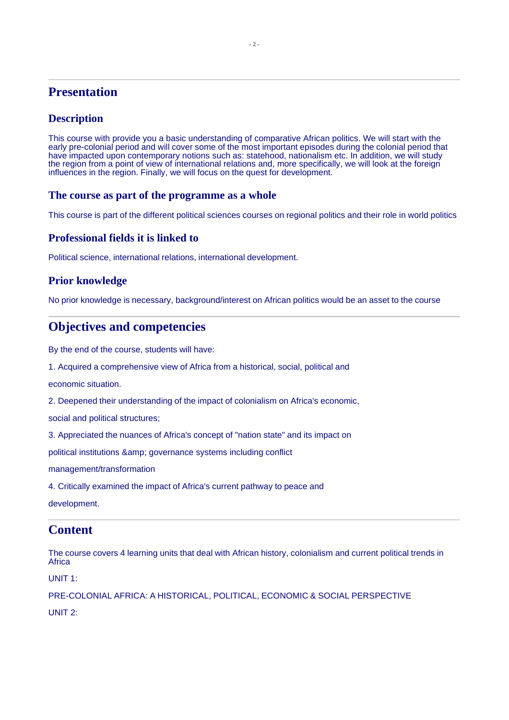# **Presentation**

# **Description**

This course with provide you a basic understanding of comparative African politics. We will start with the early pre-colonial period and will cover some of the most important episodes during the colonial period that have impacted upon contemporary notions such as: statehood, nationalism etc. In addition, we will study the region from a point of view of international relations and, more specifically, we will look at the foreign influences in the region. Finally, we will focus on the quest for development.

#### **The course as part of the programme as a whole**

This course is part of the different political sciences courses on regional politics and their role in world politics

#### **Professional fields it is linked to**

Political science, international relations, international development.

## **Prior knowledge**

No prior knowledge is necessary, background/interest on African politics would be an asset to the course

# **Objectives and competencies**

By the end of the course, students will have:

1. Acquired a comprehensive view of Africa from a historical, social, political and

economic situation.

2. Deepened their understanding of the impact of colonialism on Africa's economic,

social and political structures;

3. Appreciated the nuances of Africa's concept of "nation state" and its impact on

political institutions & amp; governance systems including conflict

management/transformation

4. Critically examined the impact of Africa's current pathway to peace and

development.

# **Content**

The course covers 4 learning units that deal with African history, colonialism and current political trends in **Africa** 

UNIT 1:

PRE-COLONIAL AFRICA: A HISTORICAL, POLITICAL, ECONOMIC & SOCIAL PERSPECTIVE

UNIT 2: